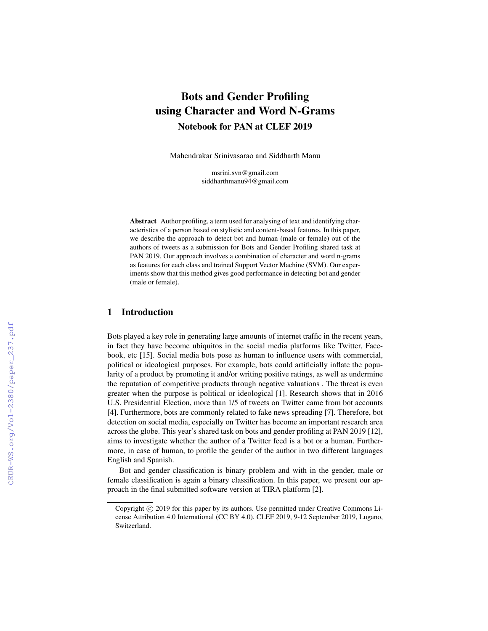# Bots and Gender Profiling using Character and Word N-Grams Notebook for PAN at CLEF 2019

Mahendrakar Srinivasarao and Siddharth Manu

msrini.svn@gmail.com siddharthmanu94@gmail.com

Abstract Author profiling, a term used for analysing of text and identifying characteristics of a person based on stylistic and content-based features. In this paper, we describe the approach to detect bot and human (male or female) out of the authors of tweets as a submission for Bots and Gender Profiling shared task at PAN 2019. Our approach involves a combination of character and word n-grams as features for each class and trained Support Vector Machine (SVM). Our experiments show that this method gives good performance in detecting bot and gender (male or female).

## 1 Introduction

Bots played a key role in generating large amounts of internet traffic in the recent years, in fact they have become ubiquitos in the social media platforms like Twitter, Facebook, etc [15]. Social media bots pose as human to influence users with commercial, political or ideological purposes. For example, bots could artificially inflate the popularity of a product by promoting it and/or writing positive ratings, as well as undermine the reputation of competitive products through negative valuations . The threat is even greater when the purpose is political or ideological [1]. Research shows that in 2016 U.S. Presidential Election, more than 1/5 of tweets on Twitter came from bot accounts [4]. Furthermore, bots are commonly related to fake news spreading [7]. Therefore, bot detection on social media, especially on Twitter has become an important research area across the globe. This year's shared task on bots and gender profiling at PAN 2019 [12], aims to investigate whether the author of a Twitter feed is a bot or a human. Furthermore, in case of human, to profile the gender of the author in two different languages English and Spanish.

Bot and gender classification is binary problem and with in the gender, male or female classification is again a binary classification. In this paper, we present our approach in the final submitted software version at TIRA platform [2].

Copyright © 2019 for this paper by its authors. Use permitted under Creative Commons License Attribution 4.0 International (CC BY 4.0). CLEF 2019, 9-12 September 2019, Lugano, Switzerland.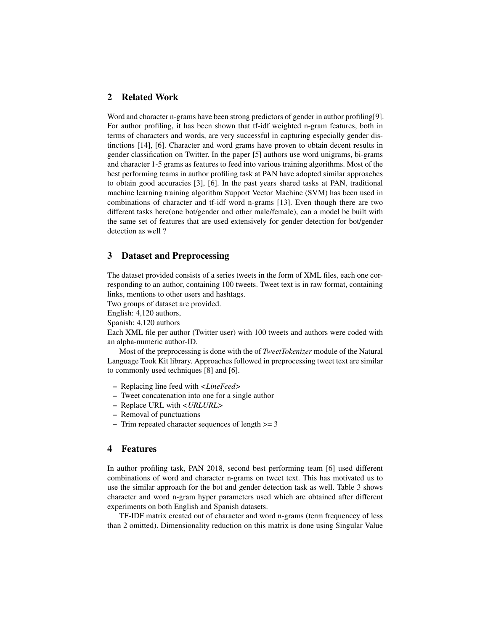## 2 Related Work

Word and character n-grams have been strong predictors of gender in author profiling[9]. For author profiling, it has been shown that tf-idf weighted n-gram features, both in terms of characters and words, are very successful in capturing especially gender distinctions [14], [6]. Character and word grams have proven to obtain decent results in gender classification on Twitter. In the paper [5] authors use word unigrams, bi-grams and character 1-5 grams as features to feed into various training algorithms. Most of the best performing teams in author profiling task at PAN have adopted similar approaches to obtain good accuracies [3], [6]. In the past years shared tasks at PAN, traditional machine learning training algorithm Support Vector Machine (SVM) has been used in combinations of character and tf-idf word n-grams [13]. Even though there are two different tasks here(one bot/gender and other male/female), can a model be built with the same set of features that are used extensively for gender detection for bot/gender detection as well ?

### 3 Dataset and Preprocessing

The dataset provided consists of a series tweets in the form of XML files, each one corresponding to an author, containing 100 tweets. Tweet text is in raw format, containing links, mentions to other users and hashtags.

Two groups of dataset are provided.

English: 4,120 authors,

Spanish: 4,120 authors

Each XML file per author (Twitter user) with 100 tweets and authors were coded with an alpha-numeric author-ID.

Most of the preprocessing is done with the of *TweetTokenizer* module of the Natural Language Took Kit library. Approaches followed in preprocessing tweet text are similar to commonly used techniques [8] and [6].

- Replacing line feed with *<LineFeed>*
- Tweet concatenation into one for a single author
- Replace URL with *<URLURL>*
- Removal of punctuations
- Trim repeated character sequences of length >= 3

#### 4 Features

In author profiling task, PAN 2018, second best performing team [6] used different combinations of word and character n-grams on tweet text. This has motivated us to use the similar approach for the bot and gender detection task as well. Table 3 shows character and word n-gram hyper parameters used which are obtained after different experiments on both English and Spanish datasets.

TF-IDF matrix created out of character and word n-grams (term frequencey of less than 2 omitted). Dimensionality reduction on this matrix is done using Singular Value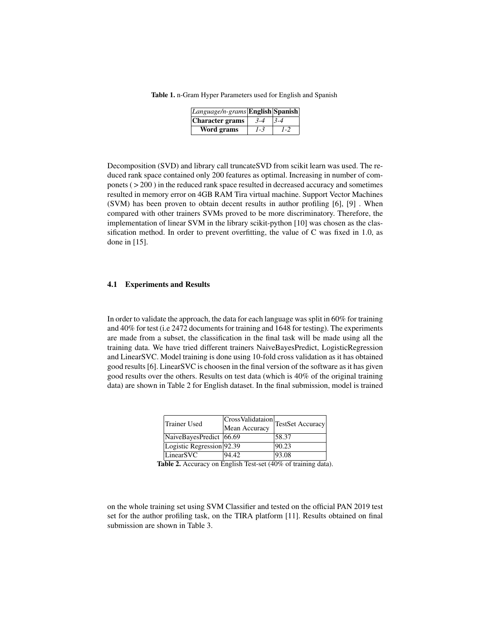Table 1. n-Gram Hyper Parameters used for English and Spanish

| Language/n-grams English Spanish |         |         |
|----------------------------------|---------|---------|
| Character grams                  | $3 - 4$ | $3 - 4$ |
| Word grams                       | 1-3     | $1 - 2$ |

Decomposition (SVD) and library call truncateSVD from scikit learn was used. The reduced rank space contained only 200 features as optimal. Increasing in number of componets ( $>$  200) in the reduced rank space resulted in decreased accuracy and sometimes resulted in memory error on 4GB RAM Tira virtual machine. Support Vector Machines (SVM) has been proven to obtain decent results in author profiling [6], [9] . When compared with other trainers SVMs proved to be more discriminatory. Therefore, the implementation of linear SVM in the library scikit-python [10] was chosen as the classification method. In order to prevent overfitting, the value of C was fixed in 1.0, as done in [15].

#### 4.1 Experiments and Results

In order to validate the approach, the data for each language was split in 60% for training and 40% for test (i.e 2472 documents for training and 1648 for testing). The experiments are made from a subset, the classification in the final task will be made using all the training data. We have tried different trainers NaiveBayesPredict, LogisticRegression and LinearSVC. Model training is done using 10-fold cross validation as it has obtained good results [6]. LinearSVC is choosen in the final version of the software as it has given good results over the others. Results on test data (which is 40% of the original training data) are shown in Table 2 for English dataset. In the final submission, model is trained

| Trainer Used              | Mean Accuracy | CrossValidataion <br>TestSet Accuracy |
|---------------------------|---------------|---------------------------------------|
| NaiveBayesPredict   66.69 |               | 58.37                                 |
| Logistic Regression 92.39 |               | 90.23                                 |
| LinearSVC                 | 94.42         | 93.08                                 |

Table 2. Accuracy on English Test-set (40% of training data).

on the whole training set using SVM Classifier and tested on the official PAN 2019 test set for the author profiling task, on the TIRA platform [11]. Results obtained on final submission are shown in Table 3.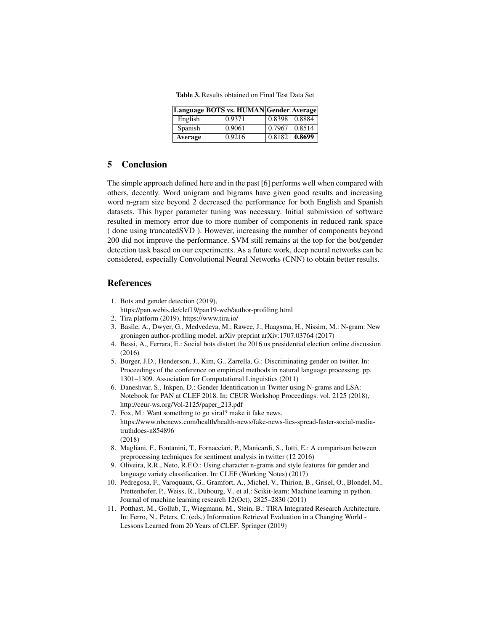Table 3. Results obtained on Final Test Data Set

|         | Language BOTS vs. HUMAN Gender Average |                 |        |
|---------|----------------------------------------|-----------------|--------|
| English | 0.9371                                 | $0.8398$ 0.8884 |        |
| Spanish | 0.9061                                 | 0.7967          | 0.8514 |
| Average | 0.9216                                 | 0.8182          | 0.8699 |

#### 5 Conclusion

The simple approach defined here and in the past [6] performs well when compared with others, decently. Word unigram and bigrams have given good results and increasing word n-gram size beyond 2 decreased the performance for both English and Spanish datasets. This hyper parameter tuning was necessary. Initial submission of software resulted in memory error due to more number of components in reduced rank space ( done using truncatedSVD ). However, increasing the number of components beyond 200 did not improve the performance. SVM still remains at the top for the bot/gender detection task based on our experiments. As a future work, deep neural networks can be considered, especially Convolutional Neural Networks (CNN) to obtain better results.

#### References

- 1. Bots and gender detection (2019),
- https://pan.webis.de/clef19/pan19-web/author-profiling.html
- 2. Tira platform (2019), https://www.tira.io/
- 3. Basile, A., Dwyer, G., Medvedeva, M., Rawee, J., Haagsma, H., Nissim, M.: N-gram: New groningen author-profiling model. arXiv preprint arXiv:1707.03764 (2017)
- 4. Bessi, A., Ferrara, E.: Social bots distort the 2016 us presidential election online discussion (2016)
- 5. Burger, J.D., Henderson, J., Kim, G., Zarrella, G.: Discriminating gender on twitter. In: Proceedings of the conference on empirical methods in natural language processing. pp. 1301–1309. Association for Computational Linguistics (2011)
- 6. Daneshvar, S., Inkpen, D.: Gender Identification in Twitter using N-grams and LSA: Notebook for PAN at CLEF 2018. In: CEUR Workshop Proceedings. vol. 2125 (2018), http://ceur-ws.org/Vol-2125/paper\_213.pdf
- 7. Fox, M.: Want something to go viral? make it fake news. https://www.nbcnews.com/health/health-news/fake-news-lies-spread-faster-social-mediatruthdoes-n854896 (2018)
- 8. Magliani, F., Fontanini, T., Fornacciari, P., Manicardi, S., Iotti, E.: A comparison between preprocessing techniques for sentiment analysis in twitter (12 2016)
- 9. Oliveira, R.R., Neto, R.F.O.: Using character n-grams and style features for gender and language variety classification. In: CLEF (Working Notes) (2017)
- 10. Pedregosa, F., Varoquaux, G., Gramfort, A., Michel, V., Thirion, B., Grisel, O., Blondel, M., Prettenhofer, P., Weiss, R., Dubourg, V., et al.: Scikit-learn: Machine learning in python. Journal of machine learning research 12(Oct), 2825–2830 (2011)
- 11. Potthast, M., Gollub, T., Wiegmann, M., Stein, B.: TIRA Integrated Research Architecture. In: Ferro, N., Peters, C. (eds.) Information Retrieval Evaluation in a Changing World - Lessons Learned from 20 Years of CLEF. Springer (2019)